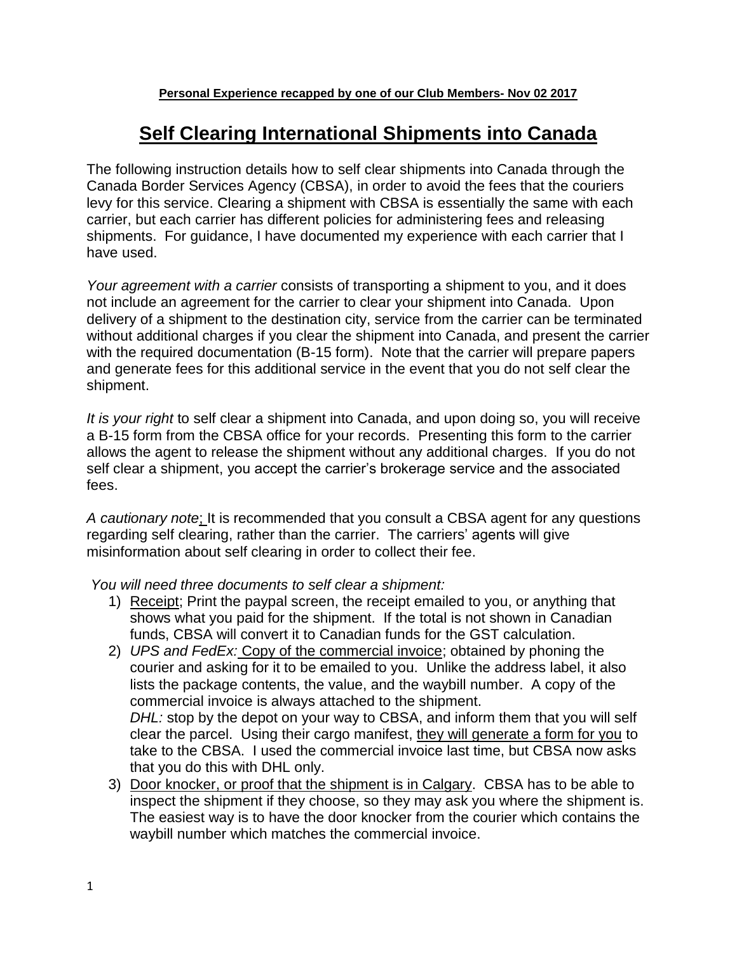## **Self Clearing International Shipments into Canada**

The following instruction details how to self clear shipments into Canada through the Canada Border Services Agency (CBSA), in order to avoid the fees that the couriers levy for this service. Clearing a shipment with CBSA is essentially the same with each carrier, but each carrier has different policies for administering fees and releasing shipments. For guidance, I have documented my experience with each carrier that I have used.

*Your agreement with a carrier* consists of transporting a shipment to you, and it does not include an agreement for the carrier to clear your shipment into Canada. Upon delivery of a shipment to the destination city, service from the carrier can be terminated without additional charges if you clear the shipment into Canada, and present the carrier with the required documentation (B-15 form). Note that the carrier will prepare papers and generate fees for this additional service in the event that you do not self clear the shipment.

*It is your right* to self clear a shipment into Canada, and upon doing so, you will receive a B-15 form from the CBSA office for your records. Presenting this form to the carrier allows the agent to release the shipment without any additional charges. If you do not self clear a shipment, you accept the carrier's brokerage service and the associated fees.

*A cautionary note*; It is recommended that you consult a CBSA agent for any questions regarding self clearing, rather than the carrier. The carriers' agents will give misinformation about self clearing in order to collect their fee.

*You will need three documents to self clear a shipment:*

- 1) Receipt; Print the paypal screen, the receipt emailed to you, or anything that shows what you paid for the shipment. If the total is not shown in Canadian funds, CBSA will convert it to Canadian funds for the GST calculation.
- 2) *UPS and FedEx:* Copy of the commercial invoice; obtained by phoning the courier and asking for it to be emailed to you. Unlike the address label, it also lists the package contents, the value, and the waybill number. A copy of the commercial invoice is always attached to the shipment. *DHL:* stop by the depot on your way to CBSA, and inform them that you will self clear the parcel. Using their cargo manifest, they will generate a form for you to take to the CBSA. I used the commercial invoice last time, but CBSA now asks that you do this with DHL only.
- 3) Door knocker, or proof that the shipment is in Calgary. CBSA has to be able to inspect the shipment if they choose, so they may ask you where the shipment is. The easiest way is to have the door knocker from the courier which contains the waybill number which matches the commercial invoice.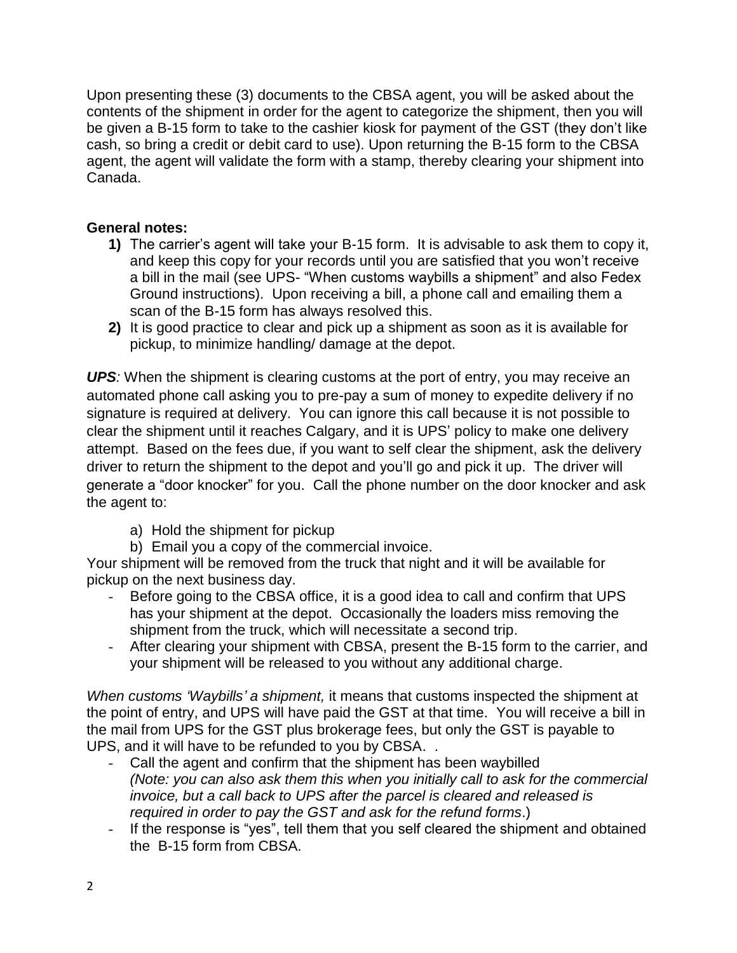Upon presenting these (3) documents to the CBSA agent, you will be asked about the contents of the shipment in order for the agent to categorize the shipment, then you will be given a B-15 form to take to the cashier kiosk for payment of the GST (they don't like cash, so bring a credit or debit card to use). Upon returning the B-15 form to the CBSA agent, the agent will validate the form with a stamp, thereby clearing your shipment into Canada.

## **General notes:**

- **1)** The carrier's agent will take your B-15 form. It is advisable to ask them to copy it, and keep this copy for your records until you are satisfied that you won't receive a bill in the mail (see UPS- "When customs waybills a shipment" and also Fedex Ground instructions). Upon receiving a bill, a phone call and emailing them a scan of the B-15 form has always resolved this.
- **2)** It is good practice to clear and pick up a shipment as soon as it is available for pickup, to minimize handling/ damage at the depot.

**UPS**: When the shipment is clearing customs at the port of entry, you may receive an automated phone call asking you to pre-pay a sum of money to expedite delivery if no signature is required at delivery. You can ignore this call because it is not possible to clear the shipment until it reaches Calgary, and it is UPS' policy to make one delivery attempt. Based on the fees due, if you want to self clear the shipment, ask the delivery driver to return the shipment to the depot and you'll go and pick it up. The driver will generate a "door knocker" for you. Call the phone number on the door knocker and ask the agent to:

- a) Hold the shipment for pickup
- b) Email you a copy of the commercial invoice.

Your shipment will be removed from the truck that night and it will be available for pickup on the next business day.

- Before going to the CBSA office, it is a good idea to call and confirm that UPS has your shipment at the depot. Occasionally the loaders miss removing the shipment from the truck, which will necessitate a second trip.
- After clearing your shipment with CBSA, present the B-15 form to the carrier, and your shipment will be released to you without any additional charge.

*When customs 'Waybills' a shipment,* it means that customs inspected the shipment at the point of entry, and UPS will have paid the GST at that time. You will receive a bill in the mail from UPS for the GST plus brokerage fees, but only the GST is payable to UPS, and it will have to be refunded to you by CBSA. .

- Call the agent and confirm that the shipment has been waybilled *(Note: you can also ask them this when you initially call to ask for the commercial invoice, but a call back to UPS after the parcel is cleared and released is required in order to pay the GST and ask for the refund forms*.)
- If the response is "yes", tell them that you self cleared the shipment and obtained the B-15 form from CBSA.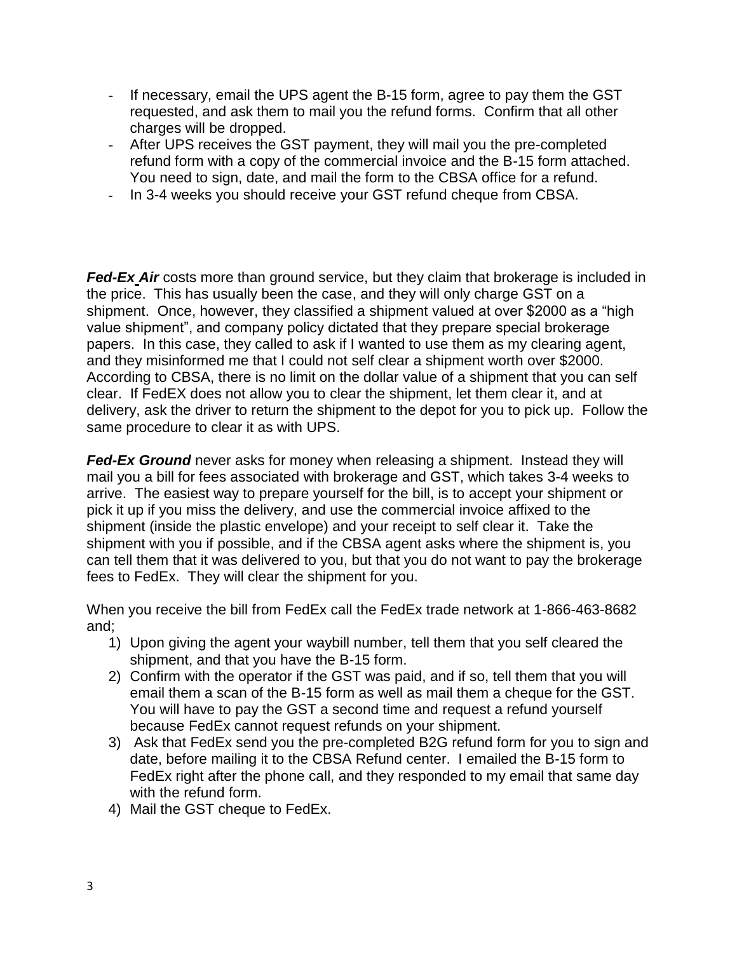- If necessary, email the UPS agent the B-15 form, agree to pay them the GST requested, and ask them to mail you the refund forms. Confirm that all other charges will be dropped.
- After UPS receives the GST payment, they will mail you the pre-completed refund form with a copy of the commercial invoice and the B-15 form attached. You need to sign, date, and mail the form to the CBSA office for a refund.
- In 3-4 weeks you should receive your GST refund cheque from CBSA.

**Fed-Ex\_Air** costs more than ground service, but they claim that brokerage is included in the price. This has usually been the case, and they will only charge GST on a shipment. Once, however, they classified a shipment valued at over \$2000 as a "high value shipment", and company policy dictated that they prepare special brokerage papers. In this case, they called to ask if I wanted to use them as my clearing agent, and they misinformed me that I could not self clear a shipment worth over \$2000. According to CBSA, there is no limit on the dollar value of a shipment that you can self clear. If FedEX does not allow you to clear the shipment, let them clear it, and at delivery, ask the driver to return the shipment to the depot for you to pick up. Follow the same procedure to clear it as with UPS.

*Fed-Ex Ground* never asks for money when releasing a shipment. Instead they will mail you a bill for fees associated with brokerage and GST, which takes 3-4 weeks to arrive. The easiest way to prepare yourself for the bill, is to accept your shipment or pick it up if you miss the delivery, and use the commercial invoice affixed to the shipment (inside the plastic envelope) and your receipt to self clear it. Take the shipment with you if possible, and if the CBSA agent asks where the shipment is, you can tell them that it was delivered to you, but that you do not want to pay the brokerage fees to FedEx. They will clear the shipment for you.

When you receive the bill from FedEx call the FedEx trade network at 1-866-463-8682 and;

- 1) Upon giving the agent your waybill number, tell them that you self cleared the shipment, and that you have the B-15 form.
- 2) Confirm with the operator if the GST was paid, and if so, tell them that you will email them a scan of the B-15 form as well as mail them a cheque for the GST. You will have to pay the GST a second time and request a refund yourself because FedEx cannot request refunds on your shipment.
- 3) Ask that FedEx send you the pre-completed B2G refund form for you to sign and date, before mailing it to the CBSA Refund center. I emailed the B-15 form to FedEx right after the phone call, and they responded to my email that same day with the refund form.
- 4) Mail the GST cheque to FedEx.